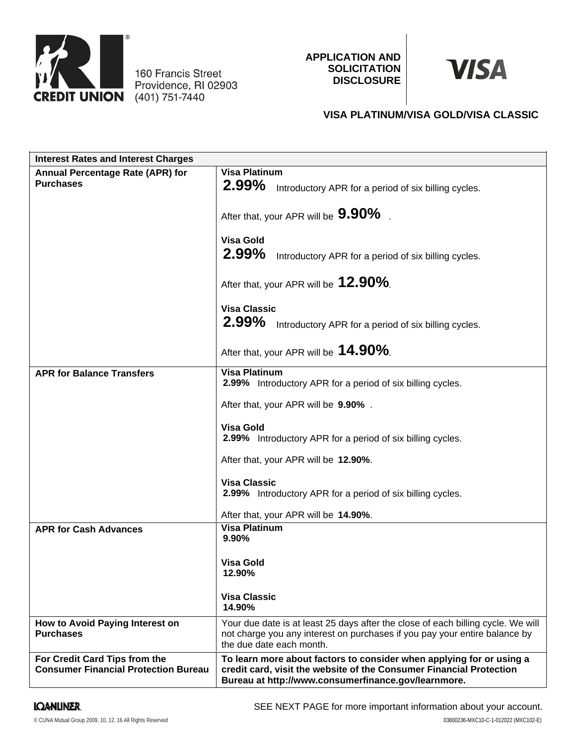

160 Francis Street Providence, RI 02903 **APPLICATION AND SOLICITATION DISCLOSURE**

# **VISA**

# **VISA PLATINUM/VISA GOLD/VISA CLASSIC**

| <b>Interest Rates and Interest Charges</b>                                   |                                                                                                                                                                                                    |
|------------------------------------------------------------------------------|----------------------------------------------------------------------------------------------------------------------------------------------------------------------------------------------------|
| <b>Annual Percentage Rate (APR) for</b><br><b>Purchases</b>                  | <b>Visa Platinum</b><br>2.99%<br>Introductory APR for a period of six billing cycles.                                                                                                              |
|                                                                              | After that, your APR will be 9.90%                                                                                                                                                                 |
|                                                                              | <b>Visa Gold</b><br>2.99%<br>Introductory APR for a period of six billing cycles.                                                                                                                  |
|                                                                              | After that, your APR will be 12.90%.                                                                                                                                                               |
|                                                                              | <b>Visa Classic</b><br>2.99%<br>Introductory APR for a period of six billing cycles.                                                                                                               |
|                                                                              | After that, your APR will be 14.90%.                                                                                                                                                               |
| <b>APR for Balance Transfers</b>                                             | <b>Visa Platinum</b><br>2.99% Introductory APR for a period of six billing cycles.                                                                                                                 |
|                                                                              | After that, your APR will be 9.90%.                                                                                                                                                                |
|                                                                              | <b>Visa Gold</b><br>2.99% Introductory APR for a period of six billing cycles.                                                                                                                     |
|                                                                              | After that, your APR will be 12.90%.                                                                                                                                                               |
|                                                                              | <b>Visa Classic</b><br>2.99% Introductory APR for a period of six billing cycles.                                                                                                                  |
|                                                                              | After that, your APR will be 14.90%.                                                                                                                                                               |
| <b>APR for Cash Advances</b>                                                 | <b>Visa Platinum</b><br>9.90%                                                                                                                                                                      |
|                                                                              | Visa Gold<br>12.90%                                                                                                                                                                                |
|                                                                              | <b>Visa Classic</b><br>14.90%                                                                                                                                                                      |
| How to Avoid Paying Interest on<br><b>Purchases</b>                          | Your due date is at least 25 days after the close of each billing cycle. We will<br>not charge you any interest on purchases if you pay your entire balance by<br>the due date each month.         |
| For Credit Card Tips from the<br><b>Consumer Financial Protection Bureau</b> | To learn more about factors to consider when applying for or using a<br>credit card, visit the website of the Consumer Financial Protection<br>Bureau at http://www.consumerfinance.gov/learnmore. |